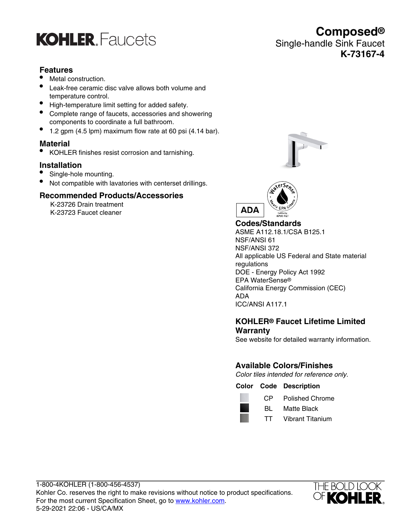## **KOHLER** Faucets

### **Features**

- Metal construction.
- Leak-free ceramic disc valve allows both volume and temperature control.
- High-temperature limit setting for added safety.
- Complete range of faucets, accessories and showering components to coordinate a full bathroom.
- 1.2 gpm (4.5 lpm) maximum flow rate at 60 psi (4.14 bar).

### **Material**

• KOHLER finishes resist corrosion and tarnishing.

### **Installation**

- Single-hole mounting.
- Not compatible with lavatories with centerset drillings.

### **Recommended Products/Accessories**

K-23726 Drain treatment K-23723 Faucet cleaner



**Composed®**

**K-73167-4**

Single-handle Sink Faucet



**Codes/Standards** ASME A112.18.1/CSA B125.1 NSF/ANSI 61 NSF/ANSI 372 All applicable US Federal and State material regulations DOE - Energy Policy Act 1992 EPA WaterSense® California Energy Commission (CEC) ADA ICC/ANSI A117.1

### **KOHLER® Faucet Lifetime Limited Warranty**

See website for detailed warranty information.

### **Available Colors/Finishes**

Color tiles intended for reference only.

**Color Code Description**